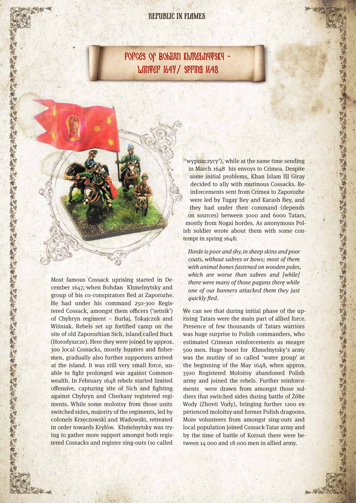### REPUBLIC IN FLAMES

FOFCES OF BOHJAN KHJRELITYFSKY -Winter 1647/ Spring 1648

Most famous Cossack uprising started in December 1647, when Bohdan Khmelnytsky and group of his co-conspirators fled at Zaporozhe. He had under his command 250-300 Registered Cossack, amongst them officers ('setnik') of Chyhryn regiment – Burłaj, Tokajczuk and Wiśniak. Rebels set up fortified camp on the site of old Zaporozhian Sich, island called Buck (Horodyszcze). Here they were joined by approx. 300 local Cossacks, mostly hunters and fishermen, gradually also further supporters arrived at the island. It was still very small force, unable to fight prolonged war against Commonwealth. In February 1648 rebels started limited offensive, capturing site of Sich and fighting against Chyhryn and Cherkasy registered regiments. While some moloitsy from those units switched sides, majority of the regiments, led by colonels Krzeczowski and Wadowski, retreated in order towards Kryłów. Khmelnytsky was trying to gather more support amongst both registered Cossacks and register sing-outs (so called

'wypiszczycy'), while at the same time sending in March 1648 his envoys to Crimea. Despite some initial problems, Khan Islam III Giray decided to ally with mutinous Cossacks. Reinforcements sent from Crimea to Zaporozhe were led by Tugay Bey and Karash Bey, and they had under their command (depends on sources) between 3000 and 6000 Tatars, mostly from Nogai hordes. As anonymous Polish soldier wrote about them with some contempt in spring 1648:

Horde is poor and shy, in sheep skins and poor coats, without sabres or bows; most of them with animal bones fastened on wooden poles, which are worse than sabres and [while] there were many of those pagans there while one of our banners attacked them they just quickly fled.

We can see that during initial phase of the uprising Tatars were the main part of allied force. Presence of few thousands of Tatars warriors was huge surprise to Polish commanders, who estimated Crimean reinforcements as meagre 500 men. Huge boost for Khmelnytsky's army was the mutiny of so called 'water group' at the beginning of the May 1648, when approx. 3500 Registered Moloitsy abandoned Polish army and joined the rebels. Further reinforcements were drawn from amongst those soldiers that switched sides during battle of Żółte Wody (Zhovti Vody), bringing further 1200 experienced moloitsy and former Polish dragoons. More volunteers from amongst sing-outs and local population joined Cossack-Tatar army and by the time of battle of Korsuń there were between 14 000 and 18 000 men in allied army.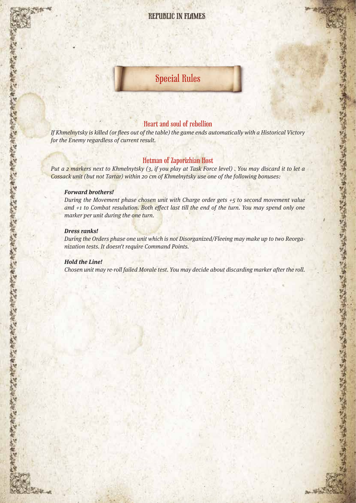## REPUBLIC IN FLAMES

# Special Rules

#### Heart and soul of rebellion

If Khmelnytsky is killed (or flees out of the table) the game ends automatically with a Historical Victory for the Enemy regardless of current result.

#### Hetman of Zaporizhian Host

Put a 2 markers next to Khmelnytsky (3, if you play at Task Force level). You may discard it to let a Cossack unit (but not Tartar) within 20 cm of Khmelnytsky use one of the following bonuses:

#### **Forward brothers!**

During the Movement phase chosen unit with Charge order gets +5 to second movement value and +1 to Combat resulution. Both effect last till the end of the turn. You may spend only one marker per unit during the one turn.

#### **Dress ranks!**

During the Orders phase one unit which is not Disorganized/Fleeing may make up to two Reorganization tests. It doesn't require Command Points.

#### **Hold the Line!**

"我在"為有"我在"為有"我在"都在"我在"都在"我在"我在"我在"我在"我在"都在"我在"我在我的在"我在"我在"我在对我在我的在"我在"我在"我在"我在"的"在"

Chosen unit may re-roll failed Morale test. You may decide about discarding marker after the roll.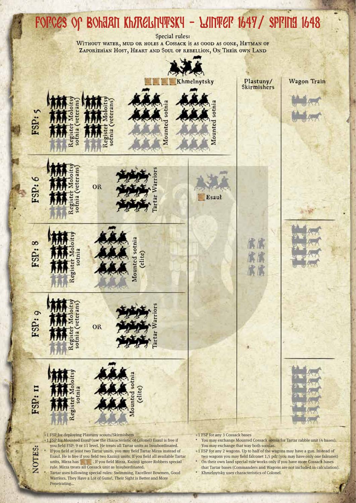# Forces of Bohdan Khmelnytsky - Winter 1647/ Spring 1648

Special rules:

WITHOUT WATER, MUD OR HOLES A COSSACK IS AS GOOD AS GONE, HETMAN OF ZAPORIZHIAN HOST, HEART AND SOUL OF REBELLION, ON THEIR OWN LAND



Warriors, They Have a Lot of Guns!, Their Sight is Better and More Penetrating...